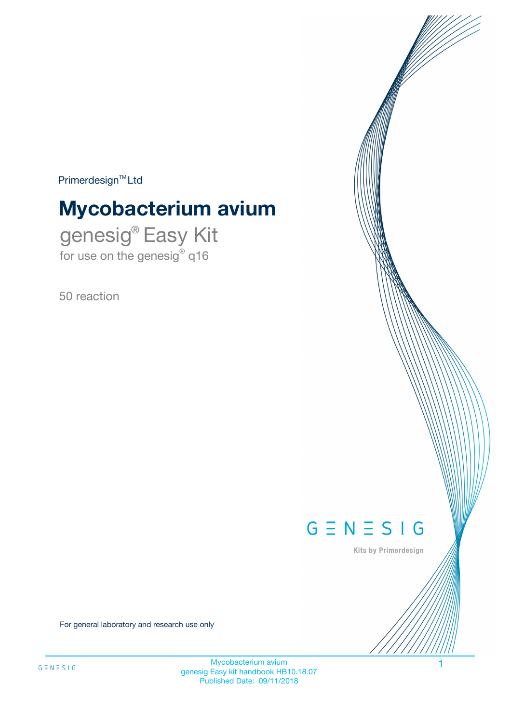$Primerdesign^{\text{TM}}Ltd$ 

# **Mycobacterium avium**

genesig® Easy Kit for use on the genesig® q16

50 reaction



Kits by Primerdesign

For general laboratory and research use only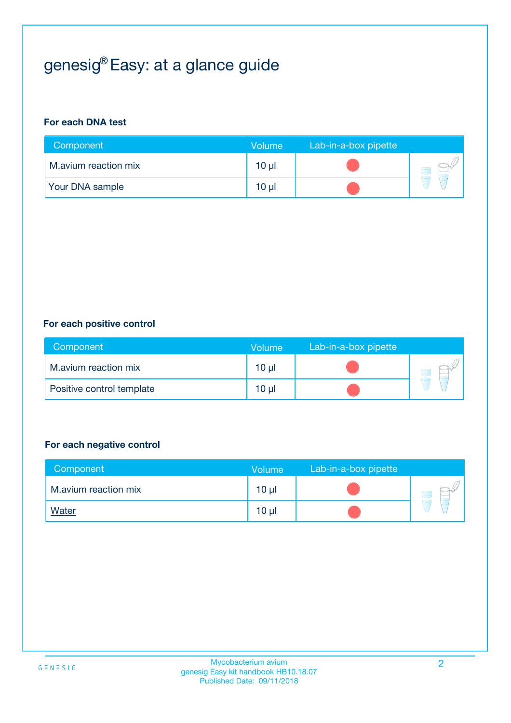## genesig® Easy: at a glance guide

#### **For each DNA test**

| Component              | <b>Volume</b> | Lab-in-a-box pipette |  |
|------------------------|---------------|----------------------|--|
| M.avium reaction mix   | 10 µl         |                      |  |
| <b>Your DNA sample</b> | $10 \mu$      |                      |  |

#### **For each positive control**

| Component                 | Volume          | Lab-in-a-box pipette |  |
|---------------------------|-----------------|----------------------|--|
| M.avium reaction mix      | 10 <sub>µ</sub> |                      |  |
| Positive control template | 10 <sub>µ</sub> |                      |  |

#### **For each negative control**

| Component            | <b>Volume</b>   | Lab-in-a-box pipette |  |
|----------------------|-----------------|----------------------|--|
| M.avium reaction mix | 10 <sub>µ</sub> |                      |  |
| <u>Water</u>         | 10 <sub>µ</sub> |                      |  |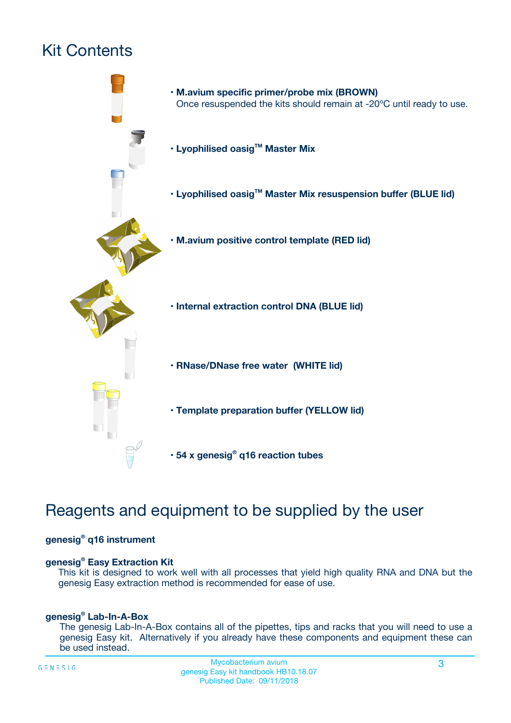## Kit Contents



## Reagents and equipment to be supplied by the user

#### **genesig® q16 instrument**

#### **genesig® Easy Extraction Kit**

This kit is designed to work well with all processes that yield high quality RNA and DNA but the genesig Easy extraction method is recommended for ease of use.

#### **genesig® Lab-In-A-Box**

The genesig Lab-In-A-Box contains all of the pipettes, tips and racks that you will need to use a genesig Easy kit. Alternatively if you already have these components and equipment these can be used instead.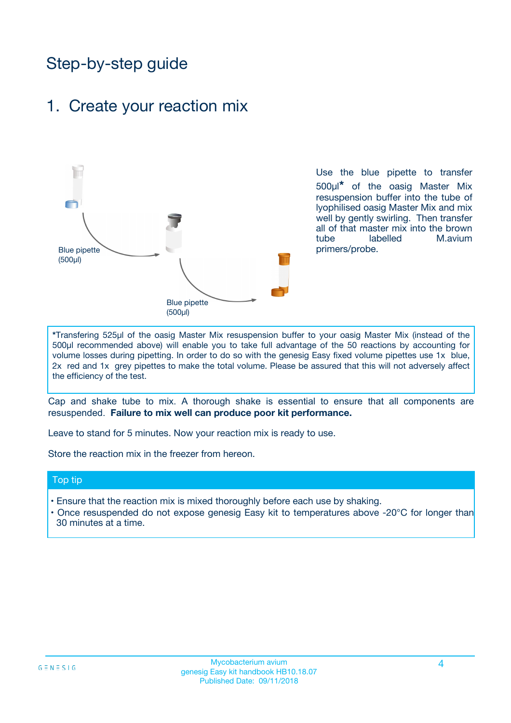## Step-by-step guide

### 1. Create your reaction mix



Use the blue pipette to transfer 500µl**\*** of the oasig Master Mix resuspension buffer into the tube of lyophilised oasig Master Mix and mix well by gently swirling. Then transfer all of that master mix into the brown tube labelled M.avium primers/probe.

**\***Transfering 525µl of the oasig Master Mix resuspension buffer to your oasig Master Mix (instead of the 500µl recommended above) will enable you to take full advantage of the 50 reactions by accounting for volume losses during pipetting. In order to do so with the genesig Easy fixed volume pipettes use 1x blue, 2x red and 1x grey pipettes to make the total volume. Please be assured that this will not adversely affect the efficiency of the test.

Cap and shake tube to mix. A thorough shake is essential to ensure that all components are resuspended. **Failure to mix well can produce poor kit performance.**

Leave to stand for 5 minutes. Now your reaction mix is ready to use.

Store the reaction mix in the freezer from hereon.

#### Top tip

- Ensure that the reaction mix is mixed thoroughly before each use by shaking.
- **•** Once resuspended do not expose genesig Easy kit to temperatures above -20°C for longer than 30 minutes at a time.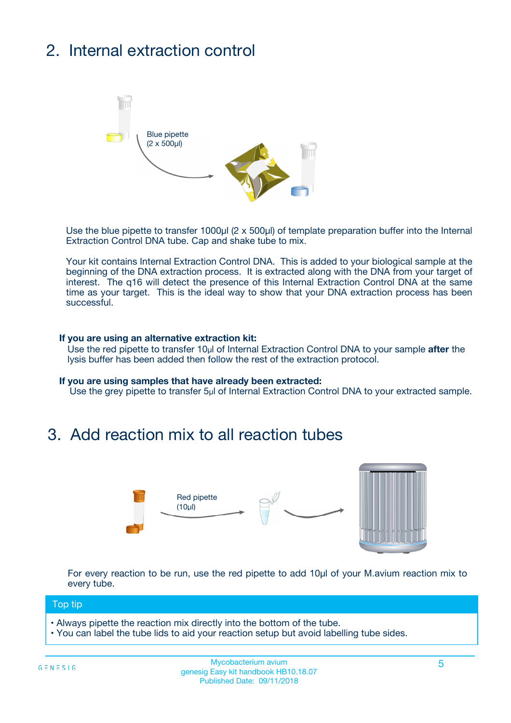## 2. Internal extraction control



Use the blue pipette to transfer 1000µl (2 x 500µl) of template preparation buffer into the Internal Extraction Control DNA tube. Cap and shake tube to mix.

Your kit contains Internal Extraction Control DNA. This is added to your biological sample at the beginning of the DNA extraction process. It is extracted along with the DNA from your target of interest. The q16 will detect the presence of this Internal Extraction Control DNA at the same time as your target. This is the ideal way to show that your DNA extraction process has been **successful.** 

#### **If you are using an alternative extraction kit:**

Use the red pipette to transfer 10µl of Internal Extraction Control DNA to your sample **after** the lysis buffer has been added then follow the rest of the extraction protocol.

#### **If you are using samples that have already been extracted:**

Use the grey pipette to transfer 5µl of Internal Extraction Control DNA to your extracted sample.

### 3. Add reaction mix to all reaction tubes



For every reaction to be run, use the red pipette to add 10µl of your M.avium reaction mix to every tube.

#### Top tip

- Always pipette the reaction mix directly into the bottom of the tube.
- You can label the tube lids to aid your reaction setup but avoid labelling tube sides.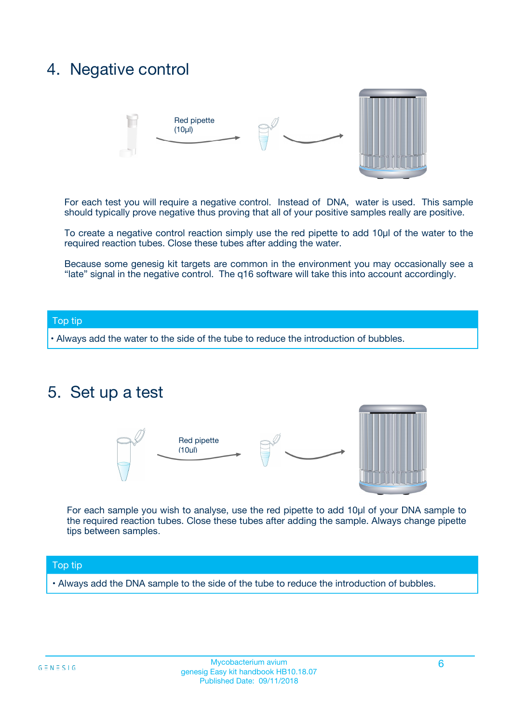### 4. Negative control



For each test you will require a negative control. Instead of DNA, water is used. This sample should typically prove negative thus proving that all of your positive samples really are positive.

To create a negative control reaction simply use the red pipette to add 10µl of the water to the required reaction tubes. Close these tubes after adding the water.

Because some genesig kit targets are common in the environment you may occasionally see a "late" signal in the negative control. The q16 software will take this into account accordingly.

#### Top tip

**•** Always add the water to the side of the tube to reduce the introduction of bubbles.

### 5. Set up a test



For each sample you wish to analyse, use the red pipette to add 10µl of your DNA sample to the required reaction tubes. Close these tubes after adding the sample. Always change pipette tips between samples.

#### Top tip

**•** Always add the DNA sample to the side of the tube to reduce the introduction of bubbles.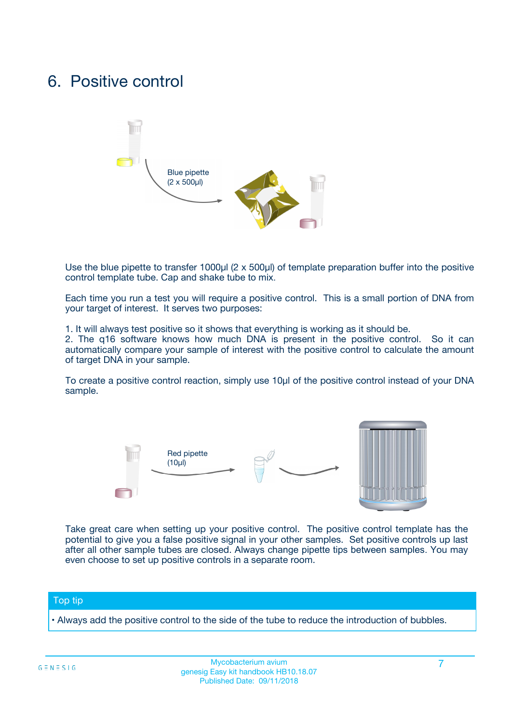### 6. Positive control



Use the blue pipette to transfer 1000µl (2 x 500µl) of template preparation buffer into the positive control template tube. Cap and shake tube to mix.

Each time you run a test you will require a positive control. This is a small portion of DNA from your target of interest. It serves two purposes:

1. It will always test positive so it shows that everything is working as it should be.

2. The q16 software knows how much DNA is present in the positive control. So it can automatically compare your sample of interest with the positive control to calculate the amount of target DNA in your sample.

To create a positive control reaction, simply use 10µl of the positive control instead of your DNA sample.



Take great care when setting up your positive control. The positive control template has the potential to give you a false positive signal in your other samples. Set positive controls up last after all other sample tubes are closed. Always change pipette tips between samples. You may even choose to set up positive controls in a separate room.

#### Top tip

**•** Always add the positive control to the side of the tube to reduce the introduction of bubbles.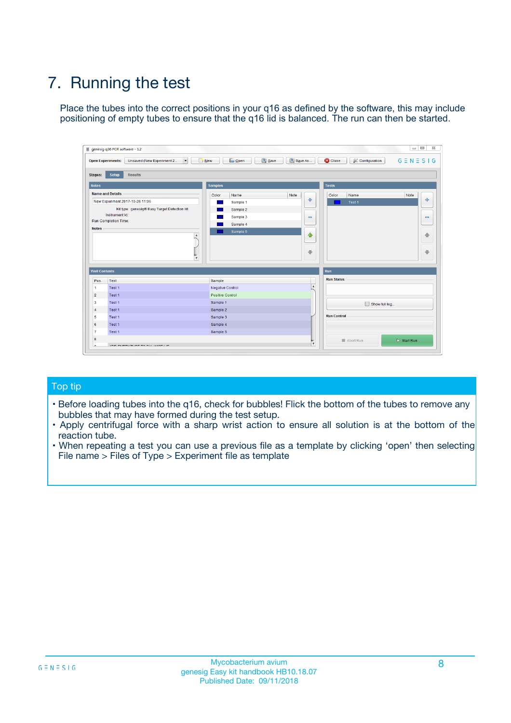## 7. Running the test

Place the tubes into the correct positions in your q16 as defined by the software, this may include positioning of empty tubes to ensure that the q16 lid is balanced. The run can then be started.

| genesig q16 PCR software - 1.2                                               |                                     | $\Box$                                                                                  |
|------------------------------------------------------------------------------|-------------------------------------|-----------------------------------------------------------------------------------------|
| Unsaved (New Experiment 2<br>$\vert \cdot \vert$<br><b>Open Experiments:</b> | <b>D</b> Open<br>Save<br>$\Box$ New | Save As<br><b>C</b> Close<br>$G \equiv N \equiv S \mid G$<br><b>&amp; Configuration</b> |
| Setup<br><b>Results</b><br><b>Stages:</b>                                    |                                     |                                                                                         |
| <b>Notes</b>                                                                 | Samples                             | <b>Tests</b>                                                                            |
| <b>Name and Details</b>                                                      | Color<br>Name                       | Note<br>Color<br>Note<br>Name                                                           |
| New Experiment 2017-10-26 11:06                                              | Sample 1                            | 条<br>علي<br>Test 1                                                                      |
| Kit type: genesig® Easy Target Detection kit                                 | Sample 2                            |                                                                                         |
| Instrument Id.:                                                              | Sample 3                            | $\qquad \qquad \blacksquare$<br>$\qquad \qquad \blacksquare$                            |
| Run Completion Time:                                                         | Sample 4                            |                                                                                         |
| <b>Notes</b>                                                                 | Sample 5<br>A<br>v                  | $\triangle$<br>4<br>$\oplus$<br>₩                                                       |
| <b>Well Contents</b>                                                         |                                     | <b>Run</b>                                                                              |
| Pos.<br>Test                                                                 | Sample                              | <b>Run Status</b>                                                                       |
| Test 1<br>-1                                                                 | <b>Negative Control</b>             | $\blacktriangle$                                                                        |
| $\overline{2}$<br>Test 1                                                     | <b>Positive Control</b>             |                                                                                         |
| $\overline{\mathbf{3}}$<br>Test 1                                            | Sample 1                            | Show full log                                                                           |
| Test 1<br>$\overline{4}$                                                     | Sample 2                            |                                                                                         |
| 5<br>Test 1                                                                  | Sample 3                            | <b>Run Control</b>                                                                      |
| 6<br>Test 1                                                                  | Sample 4                            |                                                                                         |
| $\overline{7}$<br>Test 1                                                     | Sample 5                            |                                                                                         |
| 8                                                                            |                                     | $\triangleright$ Start Run<br>Abort Run                                                 |
| <b>JOD FURTY TUDE TO BUILDED IN</b>                                          |                                     | $\overline{\mathbf{v}}$                                                                 |

#### Top tip

- Before loading tubes into the q16, check for bubbles! Flick the bottom of the tubes to remove any bubbles that may have formed during the test setup.
- Apply centrifugal force with a sharp wrist action to ensure all solution is at the bottom of the reaction tube.
- When repeating a test you can use a previous file as a template by clicking 'open' then selecting File name > Files of Type > Experiment file as template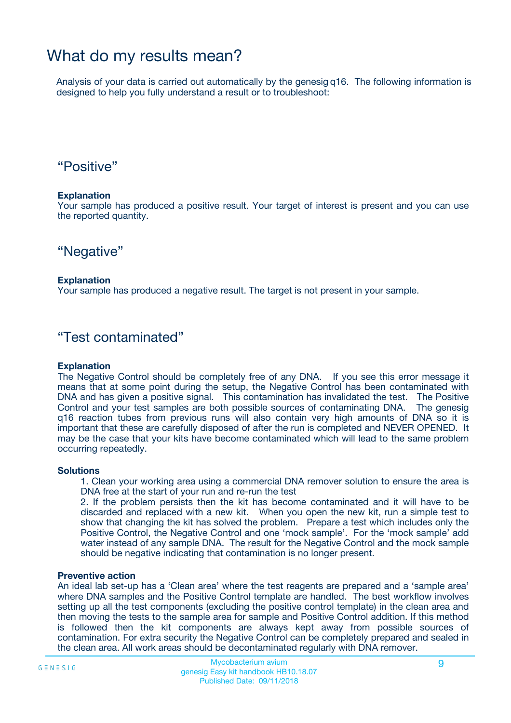### What do my results mean?

Analysis of your data is carried out automatically by the genesig q16. The following information is designed to help you fully understand a result or to troubleshoot:

### "Positive"

#### **Explanation**

Your sample has produced a positive result. Your target of interest is present and you can use the reported quantity.

"Negative"

#### **Explanation**

Your sample has produced a negative result. The target is not present in your sample.

### "Test contaminated"

#### **Explanation**

The Negative Control should be completely free of any DNA. If you see this error message it means that at some point during the setup, the Negative Control has been contaminated with DNA and has given a positive signal. This contamination has invalidated the test. The Positive Control and your test samples are both possible sources of contaminating DNA. The genesig q16 reaction tubes from previous runs will also contain very high amounts of DNA so it is important that these are carefully disposed of after the run is completed and NEVER OPENED. It may be the case that your kits have become contaminated which will lead to the same problem occurring repeatedly.

#### **Solutions**

1. Clean your working area using a commercial DNA remover solution to ensure the area is DNA free at the start of your run and re-run the test

2. If the problem persists then the kit has become contaminated and it will have to be discarded and replaced with a new kit. When you open the new kit, run a simple test to show that changing the kit has solved the problem. Prepare a test which includes only the Positive Control, the Negative Control and one 'mock sample'. For the 'mock sample' add water instead of any sample DNA. The result for the Negative Control and the mock sample should be negative indicating that contamination is no longer present.

#### **Preventive action**

An ideal lab set-up has a 'Clean area' where the test reagents are prepared and a 'sample area' where DNA samples and the Positive Control template are handled. The best workflow involves setting up all the test components (excluding the positive control template) in the clean area and then moving the tests to the sample area for sample and Positive Control addition. If this method is followed then the kit components are always kept away from possible sources of contamination. For extra security the Negative Control can be completely prepared and sealed in the clean area. All work areas should be decontaminated regularly with DNA remover.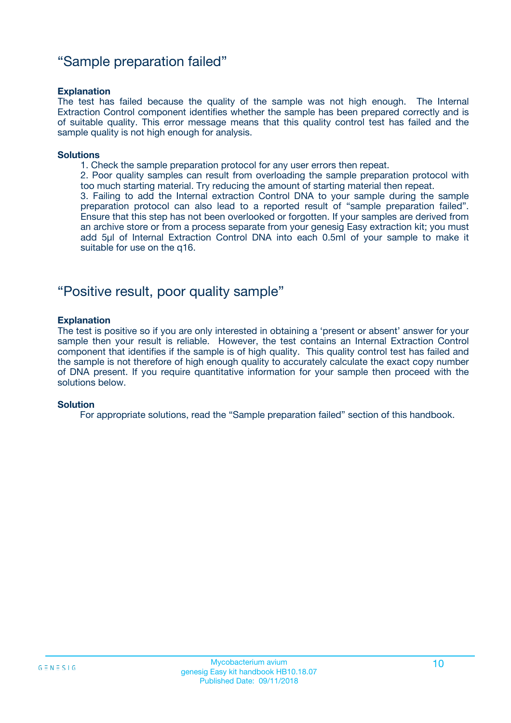### "Sample preparation failed"

#### **Explanation**

The test has failed because the quality of the sample was not high enough. The Internal Extraction Control component identifies whether the sample has been prepared correctly and is of suitable quality. This error message means that this quality control test has failed and the sample quality is not high enough for analysis.

#### **Solutions**

1. Check the sample preparation protocol for any user errors then repeat.

2. Poor quality samples can result from overloading the sample preparation protocol with too much starting material. Try reducing the amount of starting material then repeat.

3. Failing to add the Internal extraction Control DNA to your sample during the sample preparation protocol can also lead to a reported result of "sample preparation failed". Ensure that this step has not been overlooked or forgotten. If your samples are derived from an archive store or from a process separate from your genesig Easy extraction kit; you must add 5µl of Internal Extraction Control DNA into each 0.5ml of your sample to make it suitable for use on the q16.

### "Positive result, poor quality sample"

#### **Explanation**

The test is positive so if you are only interested in obtaining a 'present or absent' answer for your sample then your result is reliable. However, the test contains an Internal Extraction Control component that identifies if the sample is of high quality. This quality control test has failed and the sample is not therefore of high enough quality to accurately calculate the exact copy number of DNA present. If you require quantitative information for your sample then proceed with the solutions below.

#### **Solution**

For appropriate solutions, read the "Sample preparation failed" section of this handbook.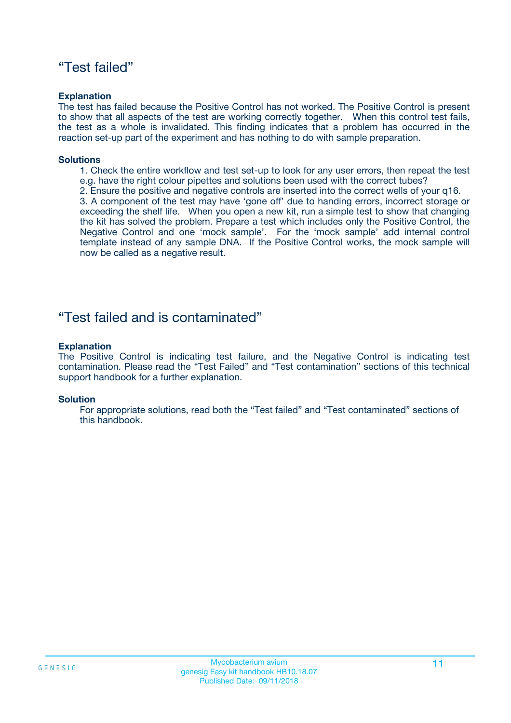### "Test failed"

#### **Explanation**

The test has failed because the Positive Control has not worked. The Positive Control is present to show that all aspects of the test are working correctly together. When this control test fails, the test as a whole is invalidated. This finding indicates that a problem has occurred in the reaction set-up part of the experiment and has nothing to do with sample preparation.

#### **Solutions**

- 1. Check the entire workflow and test set-up to look for any user errors, then repeat the test e.g. have the right colour pipettes and solutions been used with the correct tubes?
- 2. Ensure the positive and negative controls are inserted into the correct wells of your q16.

3. A component of the test may have 'gone off' due to handing errors, incorrect storage or exceeding the shelf life. When you open a new kit, run a simple test to show that changing the kit has solved the problem. Prepare a test which includes only the Positive Control, the Negative Control and one 'mock sample'. For the 'mock sample' add internal control template instead of any sample DNA. If the Positive Control works, the mock sample will now be called as a negative result.

### "Test failed and is contaminated"

#### **Explanation**

The Positive Control is indicating test failure, and the Negative Control is indicating test contamination. Please read the "Test Failed" and "Test contamination" sections of this technical support handbook for a further explanation.

#### **Solution**

For appropriate solutions, read both the "Test failed" and "Test contaminated" sections of this handbook.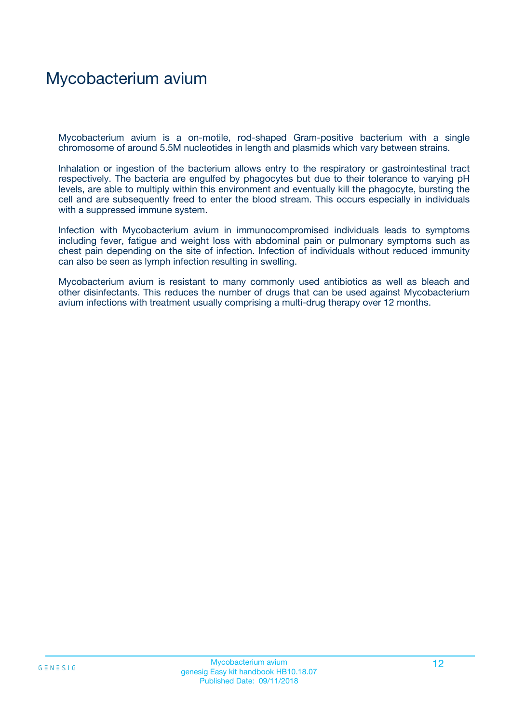## Mycobacterium avium

Mycobacterium avium is a on-motile, rod-shaped Gram-positive bacterium with a single chromosome of around 5.5M nucleotides in length and plasmids which vary between strains.

Inhalation or ingestion of the bacterium allows entry to the respiratory or gastrointestinal tract respectively. The bacteria are engulfed by phagocytes but due to their tolerance to varying pH levels, are able to multiply within this environment and eventually kill the phagocyte, bursting the cell and are subsequently freed to enter the blood stream. This occurs especially in individuals with a suppressed immune system.

Infection with Mycobacterium avium in immunocompromised individuals leads to symptoms including fever, fatigue and weight loss with abdominal pain or pulmonary symptoms such as chest pain depending on the site of infection. Infection of individuals without reduced immunity can also be seen as lymph infection resulting in swelling.

Mycobacterium avium is resistant to many commonly used antibiotics as well as bleach and other disinfectants. This reduces the number of drugs that can be used against Mycobacterium avium infections with treatment usually comprising a multi-drug therapy over 12 months.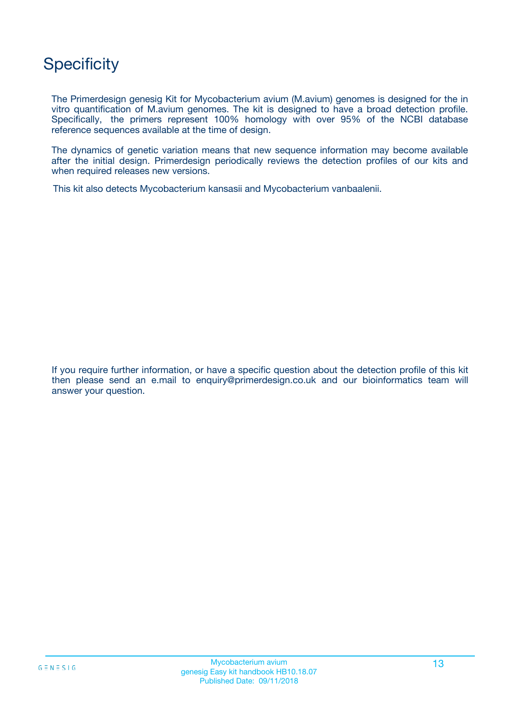## **Specificity**

The Primerdesign genesig Kit for Mycobacterium avium (M.avium) genomes is designed for the in vitro quantification of M.avium genomes. The kit is designed to have a broad detection profile. Specifically, the primers represent 100% homology with over 95% of the NCBI database reference sequences available at the time of design.

The dynamics of genetic variation means that new sequence information may become available after the initial design. Primerdesign periodically reviews the detection profiles of our kits and when required releases new versions.

This kit also detects Mycobacterium kansasii and Mycobacterium vanbaalenii.

If you require further information, or have a specific question about the detection profile of this kit then please send an e.mail to enquiry@primerdesign.co.uk and our bioinformatics team will answer your question.